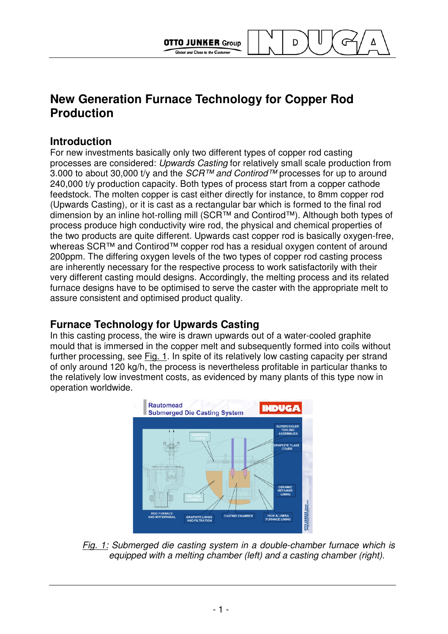

**OTTO JUNKER Group** 

Global and Close to the Custome

D

## **Introduction**

For new investments basically only two different types of copper rod casting processes are considered: Upwards Casting for relatively small scale production from 3.000 to about 30,000 t/y and the  $SCR^{TM}$  and Contirod<sup>™</sup> processes for up to around 240,000 t/y production capacity. Both types of process start from a copper cathode feedstock. The molten copper is cast either directly for instance, to 8mm copper rod (Upwards Casting), or it is cast as a rectangular bar which is formed to the final rod dimension by an inline hot-rolling mill (SCR™ and Contirod™). Although both types of process produce high conductivity wire rod, the physical and chemical properties of the two products are quite different. Upwards cast copper rod is basically oxygen-free, whereas SCR™ and Contirod™ copper rod has a residual oxygen content of around 200ppm. The differing oxygen levels of the two types of copper rod casting process are inherently necessary for the respective process to work satisfactorily with their very different casting mould designs. Accordingly, the melting process and its related furnace designs have to be optimised to serve the caster with the appropriate melt to assure consistent and optimised product quality.

## **Furnace Technology for Upwards Casting**

In this casting process, the wire is drawn upwards out of a water-cooled graphite mould that is immersed in the copper melt and subsequently formed into coils without further processing, see Fig. 1. In spite of its relatively low casting capacity per strand of only around 120 kg/h, the process is nevertheless profitable in particular thanks to the relatively low investment costs, as evidenced by many plants of this type now in operation worldwide.



Fig. 1: Submerged die casting system in a double-chamber furnace which is equipped with a melting chamber (left) and a casting chamber (right).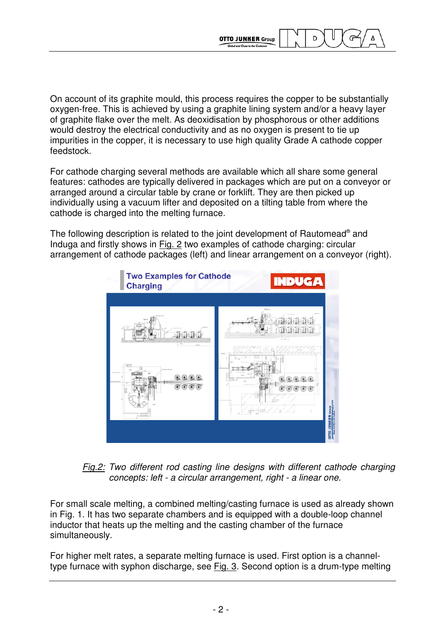On account of its graphite mould, this process requires the copper to be substantially oxygen-free. This is achieved by using a graphite lining system and/or a heavy layer of graphite flake over the melt. As deoxidisation by phosphorous or other additions would destroy the electrical conductivity and as no oxygen is present to tie up impurities in the copper, it is necessary to use high quality Grade A cathode copper feedstock.

**OTTO JUNKER Group** 

D

For cathode charging several methods are available which all share some general features: cathodes are typically delivered in packages which are put on a conveyor or arranged around a circular table by crane or forklift. They are then picked up individually using a vacuum lifter and deposited on a tilting table from where the cathode is charged into the melting furnace.

The following description is related to the joint development of Rautomead® and Induga and firstly shows in Fig. 2 two examples of cathode charging: circular arrangement of cathode packages (left) and linear arrangement on a conveyor (right).





For small scale melting, a combined melting/casting furnace is used as already shown in Fig. 1. It has two separate chambers and is equipped with a double-loop channel inductor that heats up the melting and the casting chamber of the furnace simultaneously.

For higher melt rates, a separate melting furnace is used. First option is a channeltype furnace with syphon discharge, see Fig. 3. Second option is a drum-type melting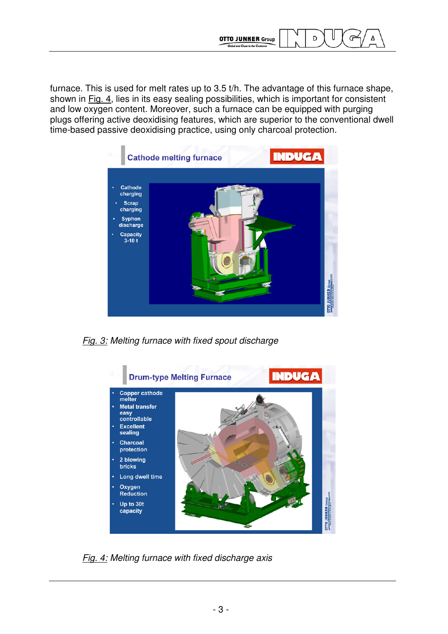

furnace. This is used for melt rates up to 3.5 t/h. The advantage of this furnace shape, shown in Fig. 4, lies in its easy sealing possibilities, which is important for consistent and low oxygen content. Moreover, such a furnace can be equipped with purging plugs offering active deoxidising features, which are superior to the conventional dwell time-based passive deoxidising practice, using only charcoal protection.



Fig. 3: Melting furnace with fixed spout discharge



Fig. 4: Melting furnace with fixed discharge axis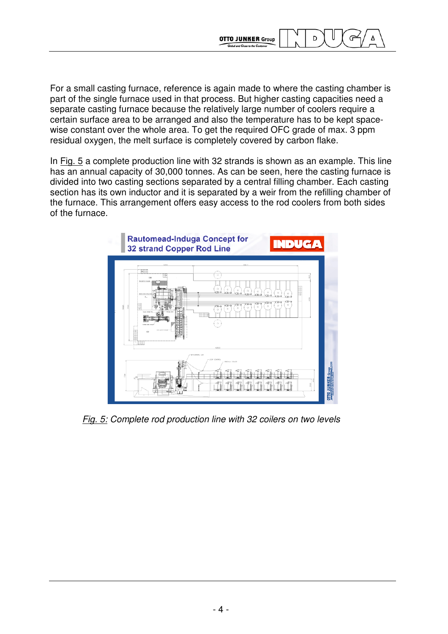For a small casting furnace, reference is again made to where the casting chamber is part of the single furnace used in that process. But higher casting capacities need a separate casting furnace because the relatively large number of coolers require a certain surface area to be arranged and also the temperature has to be kept spacewise constant over the whole area. To get the required OFC grade of max. 3 ppm residual oxygen, the melt surface is completely covered by carbon flake.

**OTTO JUNKER Group** 

D

G

In Fig. 5 a complete production line with 32 strands is shown as an example. This line has an annual capacity of 30,000 tonnes. As can be seen, here the casting furnace is divided into two casting sections separated by a central filling chamber. Each casting section has its own inductor and it is separated by a weir from the refilling chamber of the furnace. This arrangement offers easy access to the rod coolers from both sides of the furnace.



Fig. 5: Complete rod production line with 32 coilers on two levels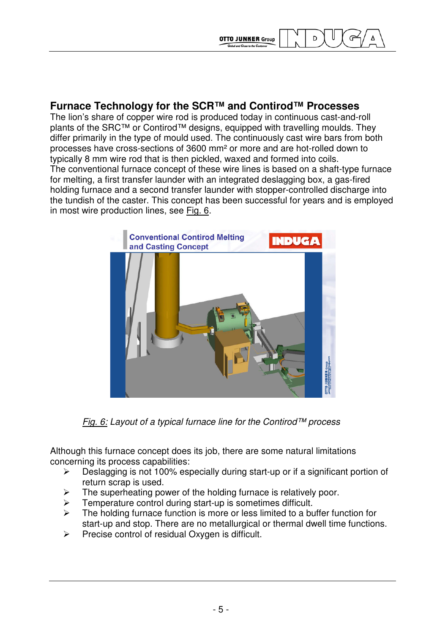

## **Furnace Technology for the SCR™ and Contirod™ Processes**

The lion's share of copper wire rod is produced today in continuous cast-and-roll plants of the SRC™ or Contirod™ designs, equipped with travelling moulds. They differ primarily in the type of mould used. The continuously cast wire bars from both processes have cross-sections of 3600 mm² or more and are hot-rolled down to typically 8 mm wire rod that is then pickled, waxed and formed into coils. The conventional furnace concept of these wire lines is based on a shaft-type furnace for melting, a first transfer launder with an integrated deslagging box, a gas-fired holding furnace and a second transfer launder with stopper-controlled discharge into the tundish of the caster. This concept has been successful for years and is employed in most wire production lines, see Fig. 6.



Fig.  $6$ : Layout of a typical furnace line for the Contirod™ process

Although this furnace concept does its job, there are some natural limitations concerning its process capabilities:

- $\triangleright$  Deslagging is not 100% especially during start-up or if a significant portion of return scrap is used.
- $\triangleright$  The superheating power of the holding furnace is relatively poor.
- $\triangleright$  Temperature control during start-up is sometimes difficult.
- $\triangleright$  The holding furnace function is more or less limited to a buffer function for start-up and stop. There are no metallurgical or thermal dwell time functions.
- $\triangleright$  Precise control of residual Oxygen is difficult.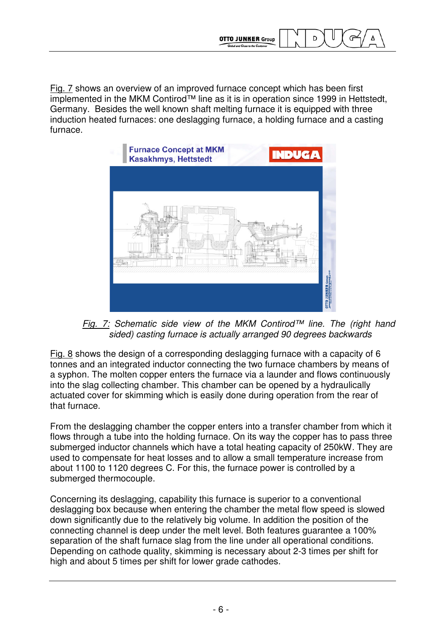

Fig. 7 shows an overview of an improved furnace concept which has been first implemented in the MKM Contirod™ line as it is in operation since 1999 in Hettstedt, Germany. Besides the well known shaft melting furnace it is equipped with three induction heated furnaces: one deslagging furnace, a holding furnace and a casting furnace.



Fig. 7: Schematic side view of the MKM Contirod™ line. The (right hand sided) casting furnace is actually arranged 90 degrees backwards

Fig. 8 shows the design of a corresponding deslagging furnace with a capacity of 6 tonnes and an integrated inductor connecting the two furnace chambers by means of a syphon. The molten copper enters the furnace via a launder and flows continuously into the slag collecting chamber. This chamber can be opened by a hydraulically actuated cover for skimming which is easily done during operation from the rear of that furnace.

From the deslagging chamber the copper enters into a transfer chamber from which it flows through a tube into the holding furnace. On its way the copper has to pass three submerged inductor channels which have a total heating capacity of 250kW. They are used to compensate for heat losses and to allow a small temperature increase from about 1100 to 1120 degrees C. For this, the furnace power is controlled by a submerged thermocouple.

Concerning its deslagging, capability this furnace is superior to a conventional deslagging box because when entering the chamber the metal flow speed is slowed down significantly due to the relatively big volume. In addition the position of the connecting channel is deep under the melt level. Both features guarantee a 100% separation of the shaft furnace slag from the line under all operational conditions. Depending on cathode quality, skimming is necessary about 2-3 times per shift for high and about 5 times per shift for lower grade cathodes.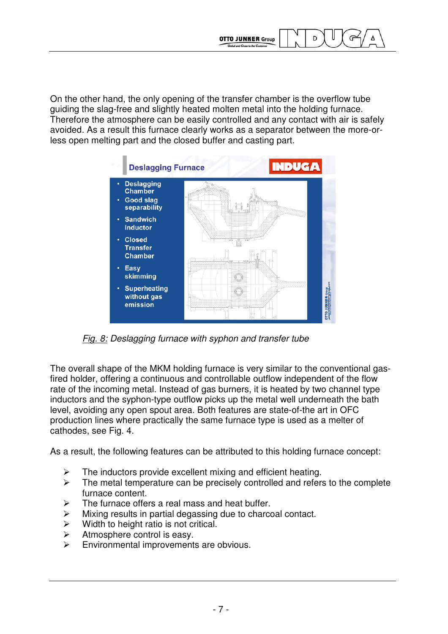On the other hand, the only opening of the transfer chamber is the overflow tube guiding the slag-free and slightly heated molten metal into the holding furnace. Therefore the atmosphere can be easily controlled and any contact with air is safely avoided. As a result this furnace clearly works as a separator between the more-orless open melting part and the closed buffer and casting part.

**OTTO JUNKER Group** 

and Close to the C

D



Fig. 8: Deslagging furnace with syphon and transfer tube

The overall shape of the MKM holding furnace is very similar to the conventional gasfired holder, offering a continuous and controllable outflow independent of the flow rate of the incoming metal. Instead of gas burners, it is heated by two channel type inductors and the syphon-type outflow picks up the metal well underneath the bath level, avoiding any open spout area. Both features are state-of-the art in OFC production lines where practically the same furnace type is used as a melter of cathodes, see Fig. 4.

As a result, the following features can be attributed to this holding furnace concept:

- $\triangleright$  The inductors provide excellent mixing and efficient heating.
- $\triangleright$  The metal temperature can be precisely controlled and refers to the complete furnace content.
- $\triangleright$  The furnace offers a real mass and heat buffer.
- $\triangleright$  Mixing results in partial degassing due to charcoal contact.
- $\triangleright$  Width to height ratio is not critical.
- $\triangleright$  Atmosphere control is easy.
- $\triangleright$  Environmental improvements are obvious.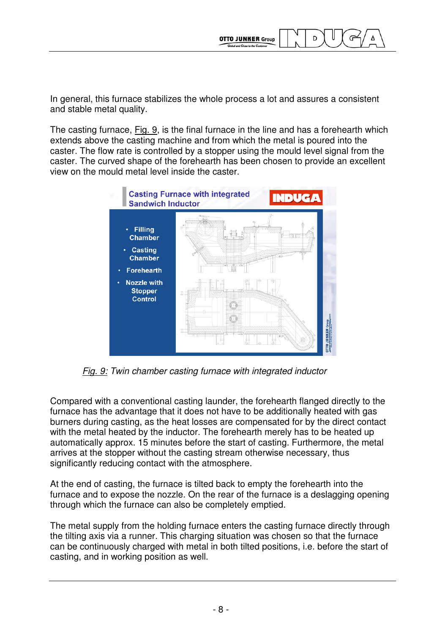

In general, this furnace stabilizes the whole process a lot and assures a consistent and stable metal quality.

The casting furnace, Fig. 9, is the final furnace in the line and has a forehearth which extends above the casting machine and from which the metal is poured into the caster. The flow rate is controlled by a stopper using the mould level signal from the caster. The curved shape of the forehearth has been chosen to provide an excellent view on the mould metal level inside the caster.



Fig. 9: Twin chamber casting furnace with integrated inductor

Compared with a conventional casting launder, the forehearth flanged directly to the furnace has the advantage that it does not have to be additionally heated with gas burners during casting, as the heat losses are compensated for by the direct contact with the metal heated by the inductor. The forehearth merely has to be heated up automatically approx. 15 minutes before the start of casting. Furthermore, the metal arrives at the stopper without the casting stream otherwise necessary, thus significantly reducing contact with the atmosphere.

At the end of casting, the furnace is tilted back to empty the forehearth into the furnace and to expose the nozzle. On the rear of the furnace is a deslagging opening through which the furnace can also be completely emptied.

The metal supply from the holding furnace enters the casting furnace directly through the tilting axis via a runner. This charging situation was chosen so that the furnace can be continuously charged with metal in both tilted positions, i.e. before the start of casting, and in working position as well.